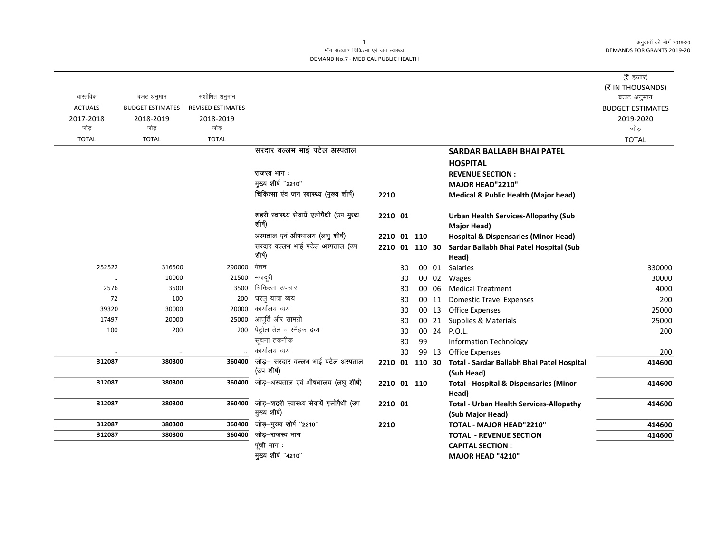अनुदानों की माँगें 2019-20 **DEMANDS FOR GRANTS 2019-20** 

## माँग संख्या.7 चिकित्सा एवं जन स्वास्थ्य DEMAND No.7 - MEDICAL PUBLIC HEALTH

|                      |                         |                          |                                          |                |    |    |       |                                                   | ( $\bar{\tau}$ हजार)    |
|----------------------|-------------------------|--------------------------|------------------------------------------|----------------|----|----|-------|---------------------------------------------------|-------------------------|
| वास्तविक             | बजट अनुमान              | संशोधित अनुमान           |                                          |                |    |    |       |                                                   | (₹ IN THOUSANDS)        |
|                      |                         |                          |                                          |                |    |    |       |                                                   | बजट अनुमान              |
| <b>ACTUALS</b>       | <b>BUDGET ESTIMATES</b> | <b>REVISED ESTIMATES</b> |                                          |                |    |    |       |                                                   | <b>BUDGET ESTIMATES</b> |
| 2017-2018<br>जोड     | 2018-2019<br>जोड        | 2018-2019<br>जोड         |                                          |                |    |    |       |                                                   | 2019-2020<br>जोड़       |
|                      |                         | <b>TOTAL</b>             |                                          |                |    |    |       |                                                   |                         |
| <b>TOTAL</b>         | <b>TOTAL</b>            |                          | सरदार वल्लभ भाई पटेल अस्पताल             |                |    |    |       |                                                   | <b>TOTAL</b>            |
|                      |                         |                          |                                          |                |    |    |       | <b>SARDAR BALLABH BHAI PATEL</b>                  |                         |
|                      |                         |                          |                                          |                |    |    |       | <b>HOSPITAL</b>                                   |                         |
|                      |                         |                          | राजस्व भाग:                              |                |    |    |       | <b>REVENUE SECTION:</b>                           |                         |
|                      |                         |                          | मुख्य शीर्ष "2210"                       |                |    |    |       | MAJOR HEAD"2210"                                  |                         |
|                      |                         |                          | चिकित्सा एंव जन स्वास्थ्य (मुख्य शीर्ष)  | 2210           |    |    |       | <b>Medical &amp; Public Health (Major head)</b>   |                         |
|                      |                         |                          | शहरी स्वास्थ्य सेवायें एलोपैथी (उप मुख्य | 2210 01        |    |    |       | <b>Urban Health Services-Allopathy (Sub</b>       |                         |
|                      |                         |                          | शीर्ष)                                   |                |    |    |       | <b>Major Head)</b>                                |                         |
|                      |                         |                          | अस्पताल एवं औषधालय (लघु शीर्ष)           | 2210 01 110    |    |    |       | <b>Hospital &amp; Dispensaries (Minor Head)</b>   |                         |
|                      |                         |                          | सरदार वल्लभ भाई पटेल अस्पताल (उप         | 2210 01 110 30 |    |    |       | Sardar Ballabh Bhai Patel Hospital (Sub           |                         |
|                      |                         |                          | शीर्ष)                                   |                |    |    |       | Head)                                             |                         |
| 252522               | 316500                  | 290000                   | वेतन                                     |                | 30 |    | 00 01 | <b>Salaries</b>                                   | 330000                  |
| $\ddot{\phantom{a}}$ | 10000                   | 21500                    | मजदूरी                                   |                | 30 |    | 00 02 | Wages                                             | 30000                   |
| 2576                 | 3500                    | 3500                     | चिकित्सा उपचार                           |                | 30 |    | 00 06 | <b>Medical Treatment</b>                          | 4000                    |
| 72                   | 100                     | 200                      | घरेलु यात्रा व्यय                        |                | 30 |    | 00 11 | <b>Domestic Travel Expenses</b>                   | 200                     |
| 39320                | 30000                   | 20000                    | कार्यालय व्यय                            |                | 30 |    | 00 13 | Office Expenses                                   | 25000                   |
| 17497                | 20000                   | 25000                    | आपूर्ति और सामग्री                       |                | 30 |    | 00 21 | Supplies & Materials                              | 25000                   |
| 100                  | 200                     | 200                      | पेट्रोल तेल व स्नैहक द्रव्य              |                | 30 |    | 00 24 | P.O.L.                                            | 200                     |
|                      |                         |                          | सूचना तकनीक                              |                | 30 | 99 |       | <b>Information Technology</b>                     |                         |
|                      | $\ddotsc$               |                          | कार्यालय व्यय                            |                | 30 |    | 99 13 | <b>Office Expenses</b>                            | 200                     |
| 312087               | 380300                  | 360400                   | जोड़- सरदार वल्लभ भाई पटेल अस्पताल       | 2210 01 110 30 |    |    |       | Total - Sardar Ballabh Bhai Patel Hospital        | 414600                  |
|                      |                         |                          | (उप शीर्ष)                               |                |    |    |       | (Sub Head)                                        |                         |
| 312087               | 380300                  | 360400                   | जोड़-अस्पताल एवं औषधालय (लघु शीर्ष)      | 2210 01 110    |    |    |       | <b>Total - Hospital &amp; Dispensaries (Minor</b> | 414600                  |
|                      |                         |                          |                                          |                |    |    |       | Head)                                             |                         |
| 312087               | 380300                  | 360400                   | जोड़-शहरी स्वास्थ्य सेवायें एलोपैथी (उप  | 2210 01        |    |    |       | <b>Total - Urban Health Services-Allopathy</b>    | 414600                  |
|                      |                         |                          | मुख्य शीर्ष)                             |                |    |    |       | (Sub Major Head)                                  |                         |
| 312087               | 380300                  | 360400                   | जोड़-मुख्य शीर्ष "2210"                  | 2210           |    |    |       | TOTAL - MAJOR HEAD"2210"                          | 414600                  |
| 312087               | 380300                  | 360400                   | जोड़–राजस्व भाग                          |                |    |    |       | <b>TOTAL - REVENUE SECTION</b>                    | 414600                  |
|                      |                         |                          | पूंजी भाग:                               |                |    |    |       | <b>CAPITAL SECTION:</b>                           |                         |
|                      |                         |                          | मुख्य शीर्ष "4210"                       |                |    |    |       | MAJOR HEAD "4210"                                 |                         |